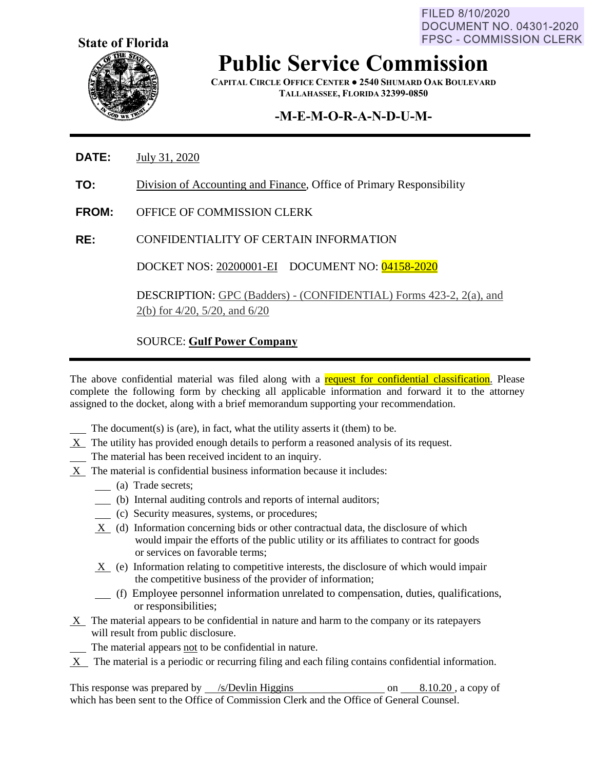FILED 8/10/2020 **DOCUMENT NO. 04301-2020 FPSC - COMMISSION CLERK** 



**Public Service Commission**

**CAPITAL CIRCLE OFFICE CENTER ● 2540 SHUMARD OAK BOULEVARD TALLAHASSEE, FLORIDA 32399-0850**

## **-M-E-M-O-R-A-N-D-U-M-**

- **DATE:** July 31, 2020
- **TO:** Division of Accounting and Finance, Office of Primary Responsibility
- **FROM:** OFFICE OF COMMISSION CLERK
- **RE:** CONFIDENTIALITY OF CERTAIN INFORMATION

DOCKET NOS: 20200001-EI DOCUMENT NO: 04158-2020

DESCRIPTION: GPC (Badders) - (CONFIDENTIAL) Forms 423-2, 2(a), and 2(b) for 4/20, 5/20, and 6/20

## SOURCE: **Gulf Power Company**

The above confidential material was filed along with a request for confidential classification. Please complete the following form by checking all applicable information and forward it to the attorney assigned to the docket, along with a brief memorandum supporting your recommendation.

The document(s) is (are), in fact, what the utility asserts it (them) to be.

- $X$  The utility has provided enough details to perform a reasoned analysis of its request.
- The material has been received incident to an inquiry.
- X The material is confidential business information because it includes:
	- (a) Trade secrets;
	- (b) Internal auditing controls and reports of internal auditors;
	- (c) Security measures, systems, or procedures;
	- X (d) Information concerning bids or other contractual data, the disclosure of which would impair the efforts of the public utility or its affiliates to contract for goods or services on favorable terms;
	- X (e) Information relating to competitive interests, the disclosure of which would impair the competitive business of the provider of information;
	- (f) Employee personnel information unrelated to compensation, duties, qualifications, or responsibilities;
- $X$  The material appears to be confidential in nature and harm to the company or its ratepayers will result from public disclosure.
	- The material appears not to be confidential in nature.
- X The material is a periodic or recurring filing and each filing contains confidential information.

This response was prepared by  $\frac{\sqrt{s}}{2}$  /s/Devlin Higgins on 8.10.20, a copy of which has been sent to the Office of Commission Clerk and the Office of General Counsel.